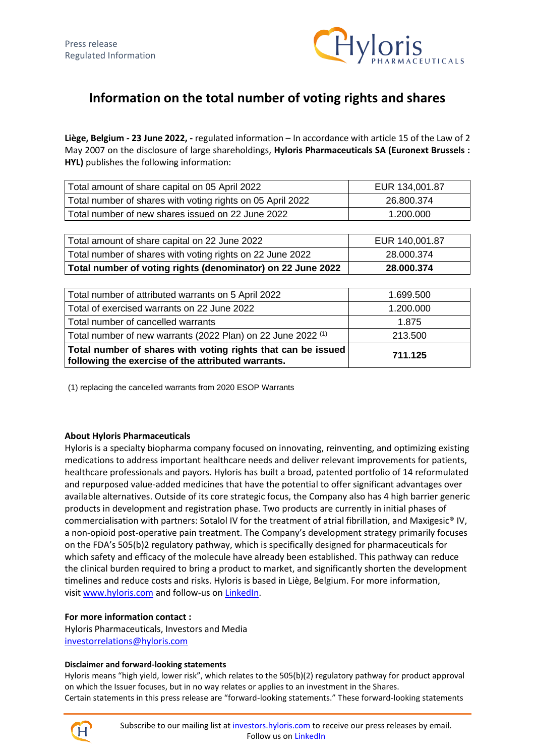

## **Information on the total number of voting rights and shares**

**Liège, Belgium - 23 June 2022, -** regulated information – In accordance with article 15 of the Law of 2 May 2007 on the disclosure of large shareholdings, **Hyloris Pharmaceuticals SA (Euronext Brussels : HYL)** publishes the following information:

| Total amount of share capital on 05 April 2022             | EUR 134,001.87 |
|------------------------------------------------------------|----------------|
| Total number of shares with voting rights on 05 April 2022 | 26.800.374     |
| Total number of new shares issued on 22 June 2022          | 1.200.000      |

| Total amount of share capital on 22 June 2022               | EUR 140,001.87 |
|-------------------------------------------------------------|----------------|
| Total number of shares with voting rights on 22 June 2022   | 28.000.374     |
| Total number of voting rights (denominator) on 22 June 2022 | 28.000.374     |

| Total number of attributed warrants on 5 April 2022                                                                | 1.699.500 |
|--------------------------------------------------------------------------------------------------------------------|-----------|
| Total of exercised warrants on 22 June 2022                                                                        | 1.200.000 |
| Total number of cancelled warrants                                                                                 | 1.875     |
| Total number of new warrants (2022 Plan) on 22 June 2022 (1)                                                       | 213.500   |
| Total number of shares with voting rights that can be issued<br>following the exercise of the attributed warrants. | 711.125   |

(1) replacing the cancelled warrants from 2020 ESOP Warrants

## **About Hyloris Pharmaceuticals**

Hyloris is a specialty biopharma company focused on innovating, reinventing, and optimizing existing medications to address important healthcare needs and deliver relevant improvements for patients, healthcare professionals and payors. Hyloris has built a broad, patented portfolio of 14 reformulated and repurposed value-added medicines that have the potential to offer significant advantages over available alternatives. Outside of its core strategic focus, the Company also has 4 high barrier generic products in development and registration phase. Two products are currently in initial phases of commercialisation with partners: Sotalol IV for the treatment of atrial fibrillation, and Maxigesic® IV, a non-opioid post-operative pain treatment. The Company's development strategy primarily focuses on the FDA's 505(b)2 regulatory pathway, which is specifically designed for pharmaceuticals for which safety and efficacy of the molecule have already been established. This pathway can reduce the clinical burden required to bring a product to market, and significantly shorten the development timelines and reduce costs and risks. Hyloris is based in Liège, Belgium. For more information, visit [www.hyloris.com](https://www.globenewswire.com/Tracker?data=NNOGlKcj0TE68ky4z1lURsKkc8x9N7CoKfisolpJVhe3IkcEoT1rOkTXzXSDZmZOZHVrrL12AhXnGY7Wj1i5zQ==) and follow-us on [LinkedIn.](https://www.globenewswire.com/Tracker?data=_P5XheKi6prKx7eS48f8uU71A-Tp5dz1nn4ei6ExRcYQwfgBjScPkFamzR2fJpH-oWlH6FCG2VJAj9rI2RG7Bv3D11VEPg4VIJ1t9z0KQKDtQ-DijDKR4YlciiI6A6ok)

## **For more information contact :**

Hyloris Pharmaceuticals, Investors and Media [investorrelations@hyloris.com](mailto:investorrelations@hyloris.com)

## **Disclaimer and forward-looking statements**

Hyloris means "high yield, lower risk", which relates to the 505(b)(2) regulatory pathway for product approval on which the Issuer focuses, but in no way relates or applies to an investment in the Shares. Certain statements in this press release are "forward-looking statements." These forward-looking statements